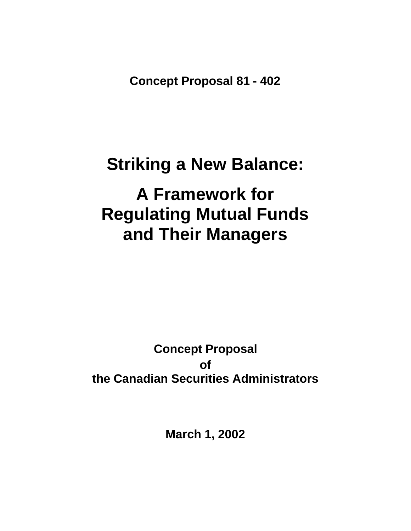**Concept Proposal 81 - 402**

# **Striking a New Balance:**

# **A Framework for Regulating Mutual Funds and Their Managers**

## **Concept Proposal of the Canadian Securities Administrators**

**March 1, 2002**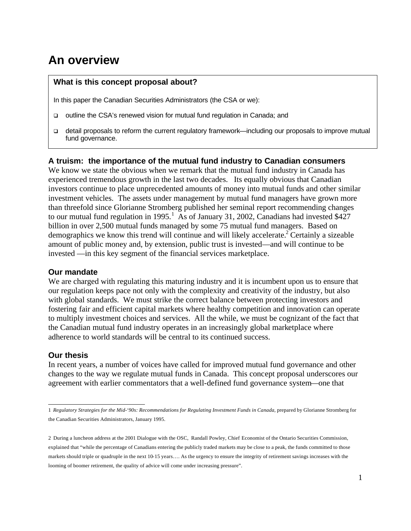## **An overview**

#### **What is this concept proposal about?**

In this paper the Canadian Securities Administrators (the CSA or we):

- q outline the CSA's renewed vision for mutual fund regulation in Canada; and
- $\Box$  detail proposals to reform the current regulatory framework—including our proposals to improve mutual fund governance.

#### **A truism: the importance of the mutual fund industry to Canadian consumers**

We know we state the obvious when we remark that the mutual fund industry in Canada has experienced tremendous growth in the last two decades. Its equally obvious that Canadian investors continue to place unprecedented amounts of money into mutual funds and other similar investment vehicles. The assets under management by mutual fund managers have grown more than threefold since Glorianne Stromberg published her seminal report recommending changes to our mutual fund regulation in 1995.<sup>1</sup> As of January 31, 2002, Canadians had invested \$427 billion in over 2,500 mutual funds managed by some 75 mutual fund managers. Based on demographics we know this trend will continue and will likely accelerate.<sup>2</sup> Certainly a sizeable amount of public money and, by extension, public trust is invested—and will continue to be invested —in this key segment of the financial services marketplace.

#### **Our mandate**

We are charged with regulating this maturing industry and it is incumbent upon us to ensure that our regulation keeps pace not only with the complexity and creativity of the industry, but also with global standards. We must strike the correct balance between protecting investors and fostering fair and efficient capital markets where healthy competition and innovation can operate to multiply investment choices and services. All the while, we must be cognizant of the fact that the Canadian mutual fund industry operates in an increasingly global marketplace where adherence to world standards will be central to its continued success.

#### **Our thesis**

In recent years, a number of voices have called for improved mutual fund governance and other changes to the way we regulate mutual funds in Canada. This concept proposal underscores our agreement with earlier commentators that a well-defined fund governance system—one that

<sup>1</sup> *Regulatory Strategies for the Mid-'90s: Recommendations for Regulating Investment Funds in Canada, prepared by Glorianne Stromberg for* the Canadian Securities Administrators, January 1995.

<sup>2</sup> During a luncheon address at the 2001 Dialogue with the OSC, Randall Powley, Chief Economist of the Ontario Securities Commission, explained that "while the percentage of Canadians entering the publicly traded markets may be close to a peak, the funds committed to those markets should triple or quadruple in the next 10-15 years…. As the urgency to ensure the integrity of retirement savings increases with the looming of boomer retirement, the quality of advice will come under increasing pressure".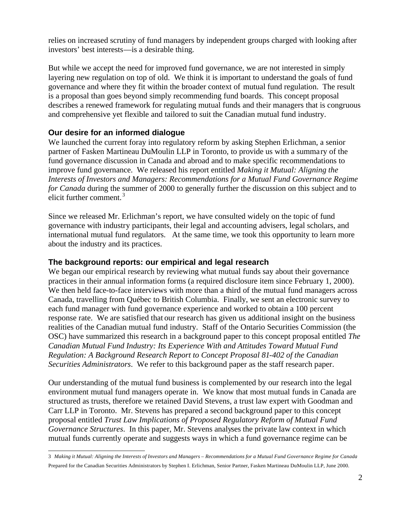relies on increased scrutiny of fund managers by independent groups charged with looking after investors' best interests—is a desirable thing.

But while we accept the need for improved fund governance, we are not interested in simply layering new regulation on top of old. We think it is important to understand the goals of fund governance and where they fit within the broader context of mutual fund regulation. The result is a proposal than goes beyond simply recommending fund boards. This concept proposal describes a renewed framework for regulating mutual funds and their managers that is congruous and comprehensive yet flexible and tailored to suit the Canadian mutual fund industry.

#### **Our desire for an informed dialogue**

We launched the current foray into regulatory reform by asking Stephen Erlichman, a senior partner of Fasken Martineau DuMoulin LLP in Toronto, to provide us with a summary of the fund governance discussion in Canada and abroad and to make specific recommendations to improve fund governance. We released his report entitled *Making it Mutual: Aligning the Interests of Investors and Managers: Recommendations for a Mutual Fund Governance Regime for Canada* during the summer of 2000 to generally further the discussion on this subject and to elicit further comment. <sup>3</sup>

Since we released Mr. Erlichman's report, we have consulted widely on the topic of fund governance with industry participants, their legal and accounting advisers, legal scholars, and international mutual fund regulators. At the same time, we took this opportunity to learn more about the industry and its practices.

#### **The background reports: our empirical and legal research**

We began our empirical research by reviewing what mutual funds say about their governance practices in their annual information forms (a required disclosure item since February 1, 2000). We then held face-to-face interviews with more than a third of the mutual fund managers across Canada, travelling from Québec to British Columbia. Finally, we sent an electronic survey to each fund manager with fund governance experience and worked to obtain a 100 percent response rate. We are satisfied that our research has given us additional insight on the business realities of the Canadian mutual fund industry. Staff of the Ontario Securities Commission (the OSC) have summarized this research in a background paper to this concept proposal entitled *The Canadian Mutual Fund Industry: Its Experience With and Attitudes Toward Mutual Fund Regulation: A Background Research Report to Concept Proposal 81-402 of the Canadian Securities Administrators*. We refer to this background paper as the staff research paper.

Our understanding of the mutual fund business is complemented by our research into the legal environment mutual fund managers operate in. We know that most mutual funds in Canada are structured as trusts, therefore we retained David Stevens, a trust law expert with Goodman and Carr LLP in Toronto. Mr. Stevens has prepared a second background paper to this concept proposal entitled *Trust Law Implications of Proposed Regulatory Reform of Mutual Fund Governance Structures*. In this paper, Mr. Stevens analyses the private law context in which mutual funds currently operate and suggests ways in which a fund governance regime can be

 3 *Making it Mutual: Aligning the Interests of Investors and Managers – Recommendations for a Mutual Fund Governance Regime for Canada*  Prepared for the Canadian Securities Administrators by Stephen I. Erlichman, Senior Partner, Fasken Martineau DuMoulin LLP, June 2000.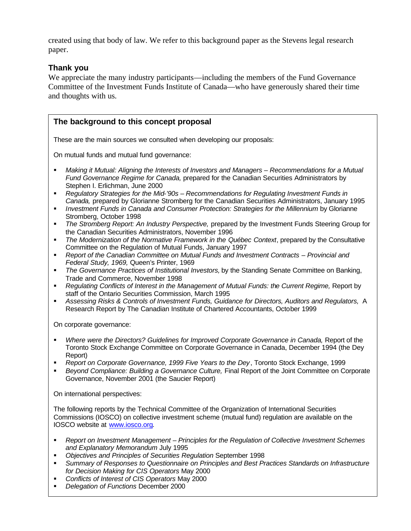created using that body of law. We refer to this background paper as the Stevens legal research paper.

#### **Thank you**

We appreciate the many industry participants—including the members of the Fund Governance Committee of the Investment Funds Institute of Canada—who have generously shared their time and thoughts with us.

#### **The background to this concept proposal**

These are the main sources we consulted when developing our proposals:

On mutual funds and mutual fund governance:

- ß *Making it Mutual: Aligning the Interests of Investors and Managers Recommendations for a Mutual Fund Governance Regime for Canada,* prepared for the Canadian Securities Administrators by Stephen I. Erlichman, June 2000
- **Regulatory Strategies for the Mid-'90s Recommendations for Regulating Investment Funds in** *Canada,* prepared by Glorianne Stromberg for the Canadian Securities Administrators, January 1995
- *Investment Funds in Canada and Consumer Protection: Strategies for the Millennium by Glorianne* Stromberg, October 1998
- **Frame Stromberg Report: An Industry Perspective, prepared by the Investment Funds Steering Group for** the Canadian Securities Administrators, November 1996
- **The Modernization of the Normative Framework in the Québec Context, prepared by the Consultative** Committee on the Regulation of Mutual Funds, January 1997
- ß *Report of the Canadian Committee on Mutual Funds and Investment Contracts Provincial and Federal Study, 1969,* Queen's Printer, 1969
- **The Governance Practices of Institutional Investors, by the Standing Senate Committee on Banking,** Trade and Commerce, November 1998
- **Regulating Conflicts of Interest in the Management of Mutual Funds: the Current Regime, Report by** staff of the Ontario Securities Commission, March 1995
- ß *Assessing Risks & Controls of Investment Funds, Guidance for Directors, Auditors and Regulators,* A Research Report by The Canadian Institute of Chartered Accountants, October 1999

On corporate governance:

- Where were the Directors? Guidelines for Improved Corporate Governance in Canada, Report of the Toronto Stock Exchange Committee on Corporate Governance in Canada, December 1994 (the Dey Report)
- Report on Corporate Governance, 1999 Five Years to the Dey, Toronto Stock Exchange, 1999
- **Beyond Compliance: Building a Governance Culture, Final Report of the Joint Committee on Corporate** Governance, November 2001 (the Saucier Report)

On international perspectives:

The following reports by the Technical Committee of the Organization of International Securities Commissions (IOSCO) on collective investment scheme (mutual fund) regulation are available on the IOSCO website at www.iosco.org.

- **Report on Investment Management Principles for the Regulation of Collective Investment Schemes** *and Explanatory Memorandum* July 1995
- ß *Objectives and Principles of Securities Regulation* September 1998
- **Summary of Responses to Questionnaire on Principles and Best Practices Standards on Infrastructure** *for Decision Making for CIS Operators* May 2000
- ß *Conflicts of Interest of CIS Operators* May 2000
- ß *Delegation of Functions* December 2000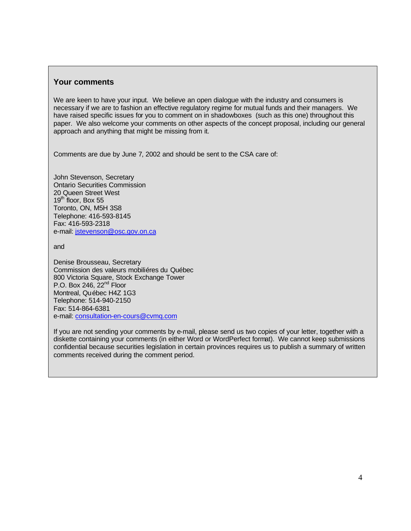#### **Your comments**

We are keen to have your input. We believe an open dialogue with the industry and consumers is necessary if we are to fashion an effective regulatory regime for mutual funds and their managers. We have raised specific issues for you to comment on in shadowboxes (such as this one) throughout this paper. We also welcome your comments on other aspects of the concept proposal, including our general approach and anything that might be missing from it.

Comments are due by June 7, 2002 and should be sent to the CSA care of:

John Stevenson, Secretary Ontario Securities Commission 20 Queen Street West 19<sup>th</sup> floor, Box 55 Toronto, ON, M5H 3S8 Telephone: 416-593-8145 Fax: 416-593-2318 e-mail: jstevenson@osc.gov.on.ca

and

Denise Brousseau, Secretary Commission des valeurs mobiliéres du Québec 800 Victoria Square, Stock Exchange Tower P.O. Box 246,  $22<sup>nd</sup>$  Floor Montreal, Québec H4Z 1G3 Telephone: 514-940-2150 Fax: 514-864-6381 e-mail: consultation-en-cours@cvmq.com

If you are not sending your comments by e-mail, please send us two copies of your letter, together with a diskette containing your comments (in either Word or WordPerfect format). We cannot keep submissions confidential because securities legislation in certain provinces requires us to publish a summary of written comments received during the comment period.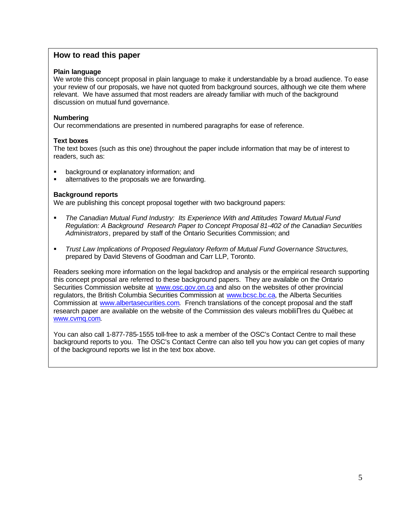#### **How to read this paper**

#### **Plain language**

We wrote this concept proposal in plain language to make it understandable by a broad audience. To ease your review of our proposals, we have not quoted from background sources, although we cite them where relevant. We have assumed that most readers are already familiar with much of the background discussion on mutual fund governance.

#### **Numbering**

Our recommendations are presented in numbered paragraphs for ease of reference.

#### **Text boxes**

The text boxes (such as this one) throughout the paper include information that may be of interest to readers, such as:

- **B** background or explanatory information; and
- **EXEC** alternatives to the proposals we are forwarding.

#### **Background reports**

We are publishing this concept proposal together with two background papers:

- ß *The Canadian Mutual Fund Industry: Its Experience With and Attitudes Toward Mutual Fund Regulation: A Background Research Paper to Concept Proposal 81-402 of the Canadian Securities Administrators*, prepared by staff of the Ontario Securities Commission; and
- **F** Trust Law Implications of Proposed Regulatory Reform of Mutual Fund Governance Structures, prepared by David Stevens of Goodman and Carr LLP, Toronto.

Readers seeking more information on the legal backdrop and analysis or the empirical research supporting this concept proposal are referred to these background papers. They are available on the Ontario Securities Commission website at www.osc.gov.on.ca and also on the websites of other provincial regulators, the British Columbia Securities Commission at www.bcsc.bc.ca, the Alberta Securities Commission at www.albertasecurities.com. French translations of the concept proposal and the staff research paper are available on the website of the Commission des valeurs mobiliΠres du Québec at www.cvmq.com.

You can also call 1-877-785-1555 toll-free to ask a member of the OSC's Contact Centre to mail these background reports to you. The OSC's Contact Centre can also tell you how you can get copies of many of the background reports we list in the text box above.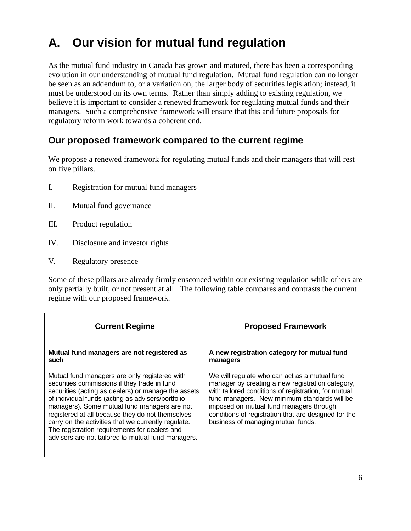## **A. Our vision for mutual fund regulation**

As the mutual fund industry in Canada has grown and matured, there has been a corresponding evolution in our understanding of mutual fund regulation. Mutual fund regulation can no longer be seen as an addendum to, or a variation on, the larger body of securities legislation; instead, it must be understood on its own terms. Rather than simply adding to existing regulation, we believe it is important to consider a renewed framework for regulating mutual funds and their managers. Such a comprehensive framework will ensure that this and future proposals for regulatory reform work towards a coherent end.

## **Our proposed framework compared to the current regime**

We propose a renewed framework for regulating mutual funds and their managers that will rest on five pillars.

- I. Registration for mutual fund managers
- II. Mutual fund governance
- III. Product regulation
- IV. Disclosure and investor rights
- V. Regulatory presence

Some of these pillars are already firmly ensconced within our existing regulation while others are only partially built, or not present at all. The following table compares and contrasts the current regime with our proposed framework.

| <b>Current Regime</b>                                                                                                                                                                                                                                                                                                                                                                                                                                                       | <b>Proposed Framework</b>                                                                                                                                                                                                                                                                                                                          |
|-----------------------------------------------------------------------------------------------------------------------------------------------------------------------------------------------------------------------------------------------------------------------------------------------------------------------------------------------------------------------------------------------------------------------------------------------------------------------------|----------------------------------------------------------------------------------------------------------------------------------------------------------------------------------------------------------------------------------------------------------------------------------------------------------------------------------------------------|
| Mutual fund managers are not registered as<br>such                                                                                                                                                                                                                                                                                                                                                                                                                          | A new registration category for mutual fund<br>managers                                                                                                                                                                                                                                                                                            |
| Mutual fund managers are only registered with<br>securities commissions if they trade in fund<br>securities (acting as dealers) or manage the assets<br>of individual funds (acting as advisers/portfolio<br>managers). Some mutual fund managers are not<br>registered at all because they do not themselves<br>carry on the activities that we currently regulate.<br>The registration requirements for dealers and<br>advisers are not tailored to mutual fund managers. | We will regulate who can act as a mutual fund<br>manager by creating a new registration category,<br>with tailored conditions of registration, for mutual<br>fund managers. New minimum standards will be<br>imposed on mutual fund managers through<br>conditions of registration that are designed for the<br>business of managing mutual funds. |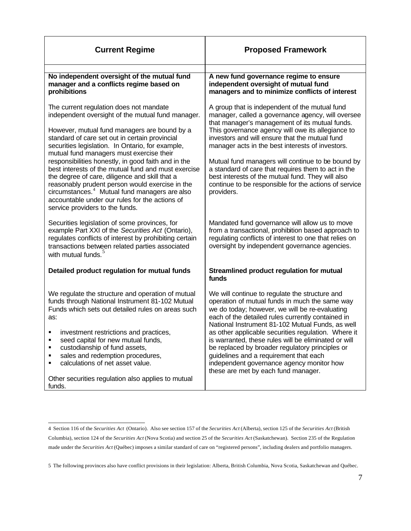| <b>Current Regime</b>                                                                                                                                                                                                                                                                                                                                             | <b>Proposed Framework</b>                                                                                                                                                                                                                                                                                        |
|-------------------------------------------------------------------------------------------------------------------------------------------------------------------------------------------------------------------------------------------------------------------------------------------------------------------------------------------------------------------|------------------------------------------------------------------------------------------------------------------------------------------------------------------------------------------------------------------------------------------------------------------------------------------------------------------|
|                                                                                                                                                                                                                                                                                                                                                                   |                                                                                                                                                                                                                                                                                                                  |
| No independent oversight of the mutual fund<br>manager and a conflicts regime based on<br>prohibitions                                                                                                                                                                                                                                                            | A new fund governance regime to ensure<br>independent oversight of mutual fund<br>managers and to minimize conflicts of interest                                                                                                                                                                                 |
| The current regulation does not mandate<br>independent oversight of the mutual fund manager.<br>However, mutual fund managers are bound by a<br>standard of care set out in certain provincial<br>securities legislation. In Ontario, for example,<br>mutual fund managers must exercise their                                                                    | A group that is independent of the mutual fund<br>manager, called a governance agency, will oversee<br>that manager's management of its mutual funds.<br>This governance agency will owe its allegiance to<br>investors and will ensure that the mutual fund<br>manager acts in the best interests of investors. |
| responsibilities honestly, in good faith and in the<br>best interests of the mutual fund and must exercise<br>the degree of care, diligence and skill that a<br>reasonably prudent person would exercise in the<br>circumstances. <sup>4</sup> Mutual fund managers are also<br>accountable under our rules for the actions of<br>service providers to the funds. | Mutual fund managers will continue to be bound by<br>a standard of care that requires them to act in the<br>best interests of the mutual fund. They will also<br>continue to be responsible for the actions of service<br>providers.                                                                             |
| Securities legislation of some provinces, for<br>example Part XXI of the Securities Act (Ontario),<br>regulates conflicts of interest by prohibiting certain<br>transactions between related parties associated<br>with mutual funds. <sup>5</sup>                                                                                                                | Mandated fund governance will allow us to move<br>from a transactional, prohibition based approach to<br>regulating conflicts of interest to one that relies on<br>oversight by independent governance agencies.                                                                                                 |
| Detailed product regulation for mutual funds                                                                                                                                                                                                                                                                                                                      | Streamlined product regulation for mutual<br>funds                                                                                                                                                                                                                                                               |
| We regulate the structure and operation of mutual<br>funds through National Instrument 81-102 Mutual<br>Funds which sets out detailed rules on areas such<br>as:                                                                                                                                                                                                  | We will continue to regulate the structure and<br>operation of mutual funds in much the same way<br>we do today; however, we will be re-evaluating<br>each of the detailed rules currently contained in<br>National Instrument 81-102 Mutual Funds, as well                                                      |
| investment restrictions and practices,<br>٠<br>٠<br>seed capital for new mutual funds,<br>custodianship of fund assets,<br>٠<br>sales and redemption procedures,<br>٠<br>calculations of net asset value.<br>٠                                                                                                                                                    | as other applicable securities regulation. Where it<br>is warranted, these rules will be eliminated or will<br>be replaced by broader regulatory principles or<br>guidelines and a requirement that each<br>independent governance agency monitor how<br>these are met by each fund manager.                     |
| Other securities regulation also applies to mutual<br>funds.                                                                                                                                                                                                                                                                                                      |                                                                                                                                                                                                                                                                                                                  |

 4 Section 116 of the *Securities Act* (Ontario). Also see section 157 of the *Securities Act* (Alberta), section 125 of the *Securities Act* (British Columbia), section 124 of the *Securities Act* (Nova Scotia) and section 25 of the *Securities Act* (Saskatchewan). Section 235 of the Regulation made under the *Securities Act* (Québec) imposes a similar standard of care on "registered persons", including dealers and portfolio managers.

<sup>5</sup> The following provinces also have conflict provisions in their legislation: Alberta, British Columbia, Nova Scotia, Saskatchewan and Québec.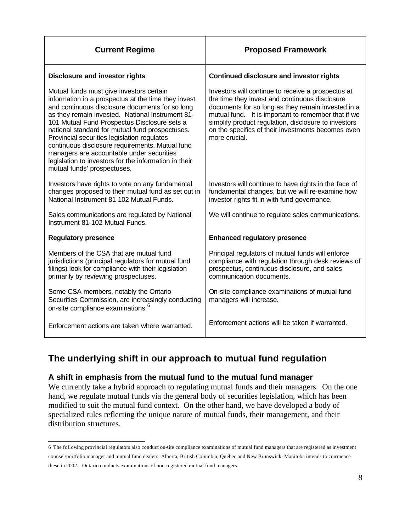| <b>Current Regime</b>                                                                                                                                                                                                                                                                                                                                                                                                                                                                                                                            | <b>Proposed Framework</b>                                                                                                                                                                                                                                                                                                                        |
|--------------------------------------------------------------------------------------------------------------------------------------------------------------------------------------------------------------------------------------------------------------------------------------------------------------------------------------------------------------------------------------------------------------------------------------------------------------------------------------------------------------------------------------------------|--------------------------------------------------------------------------------------------------------------------------------------------------------------------------------------------------------------------------------------------------------------------------------------------------------------------------------------------------|
| <b>Disclosure and investor rights</b>                                                                                                                                                                                                                                                                                                                                                                                                                                                                                                            | <b>Continued disclosure and investor rights</b>                                                                                                                                                                                                                                                                                                  |
| Mutual funds must give investors certain<br>information in a prospectus at the time they invest<br>and continuous disclosure documents for so long<br>as they remain invested. National Instrument 81-<br>101 Mutual Fund Prospectus Disclosure sets a<br>national standard for mutual fund prospectuses.<br>Provincial securities legislation regulates<br>continuous disclosure requirements. Mutual fund<br>managers are accountable under securities<br>legislation to investors for the information in their<br>mutual funds' prospectuses. | Investors will continue to receive a prospectus at<br>the time they invest and continuous disclosure<br>documents for so long as they remain invested in a<br>mutual fund. It is important to remember that if we<br>simplify product regulation, disclosure to investors<br>on the specifics of their investments becomes even<br>more crucial. |
| Investors have rights to vote on any fundamental<br>changes proposed to their mutual fund as set out in<br>National Instrument 81-102 Mutual Funds.                                                                                                                                                                                                                                                                                                                                                                                              | Investors will continue to have rights in the face of<br>fundamental changes, but we will re-examine how<br>investor rights fit in with fund governance.                                                                                                                                                                                         |
| Sales communications are regulated by National<br>Instrument 81-102 Mutual Funds.                                                                                                                                                                                                                                                                                                                                                                                                                                                                | We will continue to regulate sales communications.                                                                                                                                                                                                                                                                                               |
| <b>Regulatory presence</b>                                                                                                                                                                                                                                                                                                                                                                                                                                                                                                                       | <b>Enhanced regulatory presence</b>                                                                                                                                                                                                                                                                                                              |
| Members of the CSA that are mutual fund<br>jurisdictions (principal regulators for mutual fund<br>filings) look for compliance with their legislation<br>primarily by reviewing prospectuses.                                                                                                                                                                                                                                                                                                                                                    | Principal regulators of mutual funds will enforce<br>compliance with regulation through desk reviews of<br>prospectus, continuous disclosure, and sales<br>communication documents.                                                                                                                                                              |
| Some CSA members, notably the Ontario<br>Securities Commission, are increasingly conducting<br>on-site compliance examinations. <sup>6</sup>                                                                                                                                                                                                                                                                                                                                                                                                     | On-site compliance examinations of mutual fund<br>managers will increase.                                                                                                                                                                                                                                                                        |
| Enforcement actions are taken where warranted.                                                                                                                                                                                                                                                                                                                                                                                                                                                                                                   | Enforcement actions will be taken if warranted.                                                                                                                                                                                                                                                                                                  |

## **The underlying shift in our approach to mutual fund regulation**

#### **A shift in emphasis from the mutual fund to the mutual fund manager**

We currently take a hybrid approach to regulating mutual funds and their managers. On the one hand, we regulate mutual funds via the general body of securities legislation, which has been modified to suit the mutual fund context. On the other hand, we have developed a body of specialized rules reflecting the unique nature of mutual funds, their management, and their distribution structures.

 6 The following provincial regulators also conduct on-site compliance examinations of mutual fund managers that are registered as investment counsel/portfolio manager and mutual fund dealers: Alberta, British Columbia, Québec and New Brunswick. Manitoba intends to commence these in 2002. Ontario conducts examinations of non-registered mutual fund managers.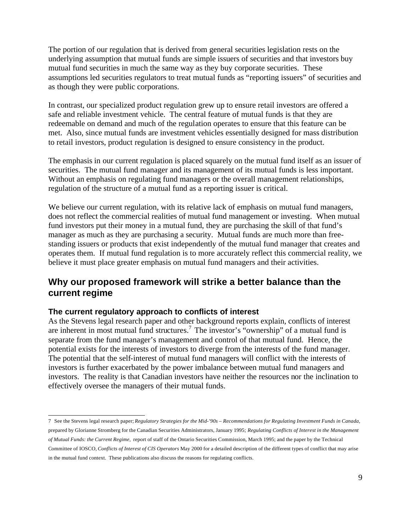The portion of our regulation that is derived from general securities legislation rests on the underlying assumption that mutual funds are simple issuers of securities and that investors buy mutual fund securities in much the same way as they buy corporate securities. These assumptions led securities regulators to treat mutual funds as "reporting issuers" of securities and as though they were public corporations.

In contrast, our specialized product regulation grew up to ensure retail investors are offered a safe and reliable investment vehicle. The central feature of mutual funds is that they are redeemable on demand and much of the regulation operates to ensure that this feature can be met. Also, since mutual funds are investment vehicles essentially designed for mass distribution to retail investors, product regulation is designed to ensure consistency in the product.

The emphasis in our current regulation is placed squarely on the mutual fund itself as an issuer of securities. The mutual fund manager and its management of its mutual funds is less important. Without an emphasis on regulating fund managers or the overall management relationships, regulation of the structure of a mutual fund as a reporting issuer is critical.

We believe our current regulation, with its relative lack of emphasis on mutual fund managers, does not reflect the commercial realities of mutual fund management or investing. When mutual fund investors put their money in a mutual fund, they are purchasing the skill of that fund's manager as much as they are purchasing a security. Mutual funds are much more than freestanding issuers or products that exist independently of the mutual fund manager that creates and operates them. If mutual fund regulation is to more accurately reflect this commercial reality, we believe it must place greater emphasis on mutual fund managers and their activities.

### **Why our proposed framework will strike a better balance than the current regime**

#### **The current regulatory approach to conflicts of interest**

As the Stevens legal research paper and other background reports explain, conflicts of interest are inherent in most mutual fund structures.<sup>7</sup> The investor's "ownership" of a mutual fund is separate from the fund manager's management and control of that mutual fund. Hence, the potential exists for the interests of investors to diverge from the interests of the fund manager. The potential that the self-interest of mutual fund managers will conflict with the interests of investors is further exacerbated by the power imbalance between mutual fund managers and investors. The reality is that Canadian investors have neither the resources nor the inclination to effectively oversee the managers of their mutual funds.

 7 See the Stevens legal research paper; *Regulatory Strategies for the Mid-'90s – Recommendations for Regulating Investment Funds in Canada,* prepared by Glorianne Stromberg for the Canadian Securities Administrators, January 1995; *Regulating Conflicts of Interest in the Management of Mutual Funds: the Current Regime,* report of staff of the Ontario Securities Commission, March 1995; and the paper by the Technical Committee of IOSCO, *Conflicts of Interest of CIS Operators* May 2000 for a detailed description of the different types of conflict that may arise in the mutual fund context. These publications also discuss the reasons for regulating conflicts.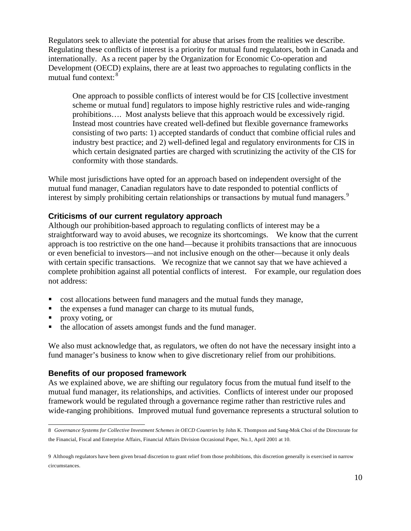Regulators seek to alleviate the potential for abuse that arises from the realities we describe. Regulating these conflicts of interest is a priority for mutual fund regulators, both in Canada and internationally. As a recent paper by the Organization for Economic Co-operation and Development (OECD) explains, there are at least two approaches to regulating conflicts in the mutual fund context: <sup>8</sup>

One approach to possible conflicts of interest would be for CIS [collective investment scheme or mutual fund] regulators to impose highly restrictive rules and wide-ranging prohibitions…. Most analysts believe that this approach would be excessively rigid. Instead most countries have created well-defined but flexible governance frameworks consisting of two parts: 1) accepted standards of conduct that combine official rules and industry best practice; and 2) well-defined legal and regulatory environments for CIS in which certain designated parties are charged with scrutinizing the activity of the CIS for conformity with those standards.

While most jurisdictions have opted for an approach based on independent oversight of the mutual fund manager, Canadian regulators have to date responded to potential conflicts of interest by simply prohibiting certain relationships or transactions by mutual fund managers.<sup>9</sup>

#### **Criticisms of our current regulatory approach**

Although our prohibition-based approach to regulating conflicts of interest may be a straightforward way to avoid abuses, we recognize its shortcomings. We know that the current approach is too restrictive on the one hand—because it prohibits transactions that are innocuous or even beneficial to investors—and not inclusive enough on the other—because it only deals with certain specific transactions. We recognize that we cannot say that we have achieved a complete prohibition against all potential conflicts of interest. For example, our regulation does not address:

- ß cost allocations between fund managers and the mutual funds they manage,
- the expenses a fund manager can charge to its mutual funds,
- **proxy voting, or**
- $\blacksquare$  the allocation of assets amongst funds and the fund manager.

We also must acknowledge that, as regulators, we often do not have the necessary insight into a fund manager's business to know when to give discretionary relief from our prohibitions.

#### **Benefits of our proposed framework**

As we explained above, we are shifting our regulatory focus from the mutual fund itself to the mutual fund manager, its relationships, and activities. Conflicts of interest under our proposed framework would be regulated through a governance regime rather than restrictive rules and wide-ranging prohibitions. Improved mutual fund governance represents a structural solution to

 8 *Governance Systems for Collective Investment Schemes in OECD Countries* by John K. Thompson and Sang-Mok Choi of the Directorate for the Financial, Fiscal and Enterprise Affairs, Financial Affairs Division Occasional Paper, No.1, April 2001 at 10.

<sup>9</sup> Although regulators have been given broad discretion to grant relief from those prohibitions, this discretion generally is exercised in narrow circumstances.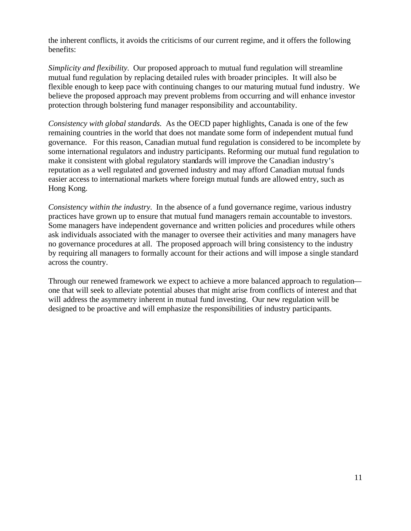the inherent conflicts, it avoids the criticisms of our current regime, and it offers the following benefits:

*Simplicity and flexibility.* Our proposed approach to mutual fund regulation will streamline mutual fund regulation by replacing detailed rules with broader principles. It will also be flexible enough to keep pace with continuing changes to our maturing mutual fund industry. We believe the proposed approach may prevent problems from occurring and will enhance investor protection through bolstering fund manager responsibility and accountability.

*Consistency with global standards.* As the OECD paper highlights, Canada is one of the few remaining countries in the world that does not mandate some form of independent mutual fund governance. For this reason, Canadian mutual fund regulation is considered to be incomplete by some international regulators and industry participants. Reforming our mutual fund regulation to make it consistent with global regulatory standards will improve the Canadian industry's reputation as a well regulated and governed industry and may afford Canadian mutual funds easier access to international markets where foreign mutual funds are allowed entry, such as Hong Kong.

*Consistency within the industry.* In the absence of a fund governance regime, various industry practices have grown up to ensure that mutual fund managers remain accountable to investors. Some managers have independent governance and written policies and procedures while others ask individuals associated with the manager to oversee their activities and many managers have no governance procedures at all. The proposed approach will bring consistency to the industry by requiring all managers to formally account for their actions and will impose a single standard across the country.

Through our renewed framework we expect to achieve a more balanced approach to regulation one that will seek to alleviate potential abuses that might arise from conflicts of interest and that will address the asymmetry inherent in mutual fund investing. Our new regulation will be designed to be proactive and will emphasize the responsibilities of industry participants.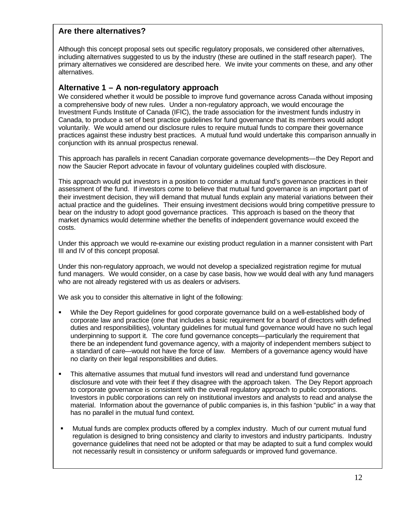#### **Are there alternatives?**

Although this concept proposal sets out specific regulatory proposals, we considered other alternatives, including alternatives suggested to us by the industry (these are outlined in the staff research paper). The primary alternatives we considered are described here. We invite your comments on these, and any other alternatives.

#### **Alternative 1 – A non-regulatory approach**

We considered whether it would be possible to improve fund governance across Canada without imposing a comprehensive body of new rules. Under a non-regulatory approach, we would encourage the Investment Funds Institute of Canada (IFIC), the trade association for the investment funds industry in Canada, to produce a set of best practice guidelines for fund governance that its members would adopt voluntarily. We would amend our disclosure rules to require mutual funds to compare their governance practices against these industry best practices. A mutual fund would undertake this comparison annually in conjunction with its annual prospectus renewal.

This approach has parallels in recent Canadian corporate governance developments—the Dey Report and now the Saucier Report advocate in favour of voluntary guidelines coupled with disclosure.

This approach would put investors in a position to consider a mutual fund's governance practices in their assessment of the fund. If investors come to believe that mutual fund governance is an important part of their investment decision, they will demand that mutual funds explain any material variations between their actual practice and the guidelines. Their ensuing investment decisions would bring competitive pressure to bear on the industry to adopt good governance practices. This approach is based on the theory that market dynamics would determine whether the benefits of independent governance would exceed the costs.

Under this approach we would re-examine our existing product regulation in a manner consistent with Part III and IV of this concept proposal.

Under this non-regulatory approach, we would not develop a specialized registration regime for mutual fund managers. We would consider, on a case by case basis, how we would deal with any fund managers who are not already registered with us as dealers or advisers.

We ask you to consider this alternative in light of the following:

- ß While the Dey Report guidelines for good corporate governance build on a well-established body of corporate law and practice (one that includes a basic requirement for a board of directors with defined duties and responsibilities), voluntary guidelines for mutual fund governance would have no such legal underpinning to support it. The core fund governance concepts—particularly the requirement that there be an independent fund governance agency, with a majority of independent members subject to a standard of care—would not have the force of law. Members of a governance agency would have no clarity on their legal responsibilities and duties.
- This alternative assumes that mutual fund investors will read and understand fund governance disclosure and vote with their feet if they disagree with the approach taken. The Dey Report approach to corporate governance is consistent with the overall regulatory approach to public corporations. Investors in public corporations can rely on institutional investors and analysts to read and analyse the material. Information about the governance of public companies is, in this fashion "public" in a way that has no parallel in the mutual fund context.
- ß Mutual funds are complex products offered by a complex industry. Much of our current mutual fund regulation is designed to bring consistency and clarity to investors and industry participants. Industry governance guidelines that need not be adopted or that may be adapted to suit a fund complex would not necessarily result in consistency or uniform safeguards or improved fund governance.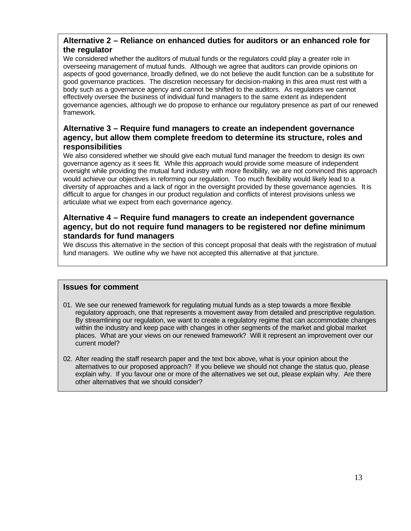#### **Alternative 2 – Reliance on enhanced duties for auditors or an enhanced role for the regulator**

We considered whether the auditors of mutual funds or the regulators could play a greater role in overseeing management of mutual funds. Although we agree that auditors can provide opinions on aspects of good governance, broadly defined, we do not believe the audit function can be a substitute for good governance practices. The discretion necessary for decision-making in this area must rest with a body such as a governance agency and cannot be shifted to the auditors. As regulators we cannot effectively oversee the business of individual fund managers to the same extent as independent governance agencies, although we do propose to enhance our regulatory presence as part of our renewed framework.

#### **Alternative 3 – Require fund managers to create an independent governance agency, but allow them complete freedom to determine its structure, roles and responsibilities**

We also considered whether we should give each mutual fund manager the freedom to design its own governance agency as it sees fit. While this approach would provide some measure of independent oversight while providing the mutual fund industry with more flexibility, we are not convinced this approach would achieve our objectives in reforming our regulation. Too much flexibility would likely lead to a diversity of approaches and a lack of rigor in the oversight provided by these governance agencies. It is difficult to argue for changes in our product regulation and conflicts of interest provisions unless we articulate what we expect from each governance agency.

#### **Alternative 4 – Require fund managers to create an independent governance agency, but do not require fund managers to be registered nor define minimum standards for fund managers**

We discuss this alternative in the section of this concept proposal that deals with the registration of mutual fund managers. We outline why we have not accepted this alternative at that juncture.

#### **Issues for comment**

- 01. We see our renewed framework for regulating mutual funds as a step towards a more flexible regulatory approach, one that represents a movement away from detailed and prescriptive regulation. By streamlining our regulation, we want to create a regulatory regime that can accommodate changes within the industry and keep pace with changes in other segments of the market and global market places. What are your views on our renewed framework? Will it represent an improvement over our current model?
- 02. After reading the staff research paper and the text box above, what is your opinion about the alternatives to our proposed approach? If you believe we should not change the status quo, please explain why. If you favour one or more of the alternatives we set out, please explain why. Are there other alternatives that we should consider?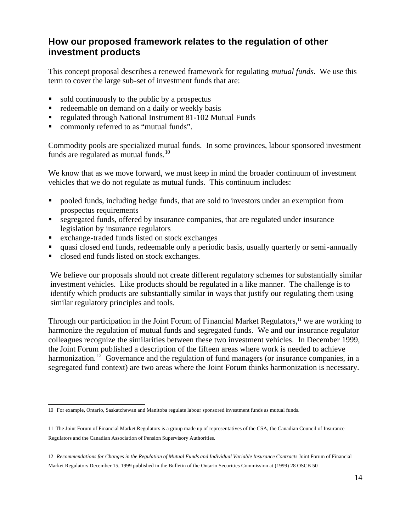### **How our proposed framework relates to the regulation of other investment products**

This concept proposal describes a renewed framework for regulating *mutual funds*. We use this term to cover the large sub-set of investment funds that are:

- ß sold continuously to the public by a prospectus
- redeemable on demand on a daily or weekly basis
- ß regulated through National Instrument 81-102 Mutual Funds
- commonly referred to as "mutual funds".

Commodity pools are specialized mutual funds. In some provinces, labour sponsored investment funds are regulated as mutual funds. $^{10}$ 

We know that as we move forward, we must keep in mind the broader continuum of investment vehicles that we do not regulate as mutual funds. This continuum includes:

- ß pooled funds, including hedge funds, that are sold to investors under an exemption from prospectus requirements
- ß segregated funds, offered by insurance companies, that are regulated under insurance legislation by insurance regulators
- ß exchange-traded funds listed on stock exchanges
- ß quasi closed end funds, redeemable only a periodic basis, usually quarterly or semi-annually
- ß closed end funds listed on stock exchanges.

We believe our proposals should not create different regulatory schemes for substantially similar investment vehicles. Like products should be regulated in a like manner. The challenge is to identify which products are substantially similar in ways that justify our regulating them using similar regulatory principles and tools.

Through our participation in the Joint Forum of Financial Market Regulators,<sup>11</sup> we are working to harmonize the regulation of mutual funds and segregated funds. We and our insurance regulator colleagues recognize the similarities between these two investment vehicles. In December 1999, the Joint Forum published a description of the fifteen areas where work is needed to achieve harmonization.<sup>12</sup> Governance and the regulation of fund managers (or insurance companies, in a segregated fund context) are two areas where the Joint Forum thinks harmonization is necessary.

 10 For example, Ontario, Saskatchewan and Manitoba regulate labour sponsored investment funds as mutual funds.

<sup>11</sup> The Joint Forum of Financial Market Regulators is a group made up of representatives of the CSA, the Canadian Council of Insurance Regulators and the Canadian Association of Pension Supervisory Authorities.

<sup>12</sup> *Recommendations for Changes in the Regulation of Mutual Funds and Individual Variable Insurance Contracts* Joint Forum of Financial Market Regulators December 15, 1999 published in the Bulletin of the Ontario Securities Commission at (1999) 28 OSCB 50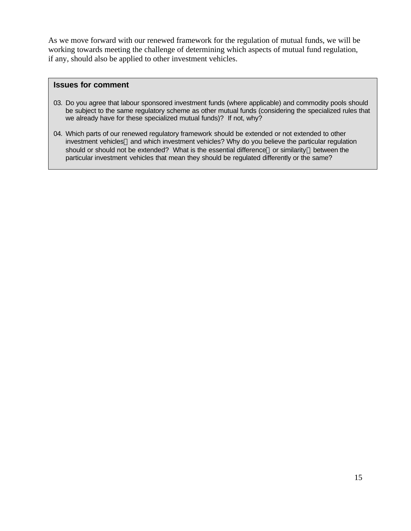As we move forward with our renewed framework for the regulation of mutual funds, we will be working towards meeting the challenge of determining which aspects of mutual fund regulation, if any, should also be applied to other investment vehicles.

#### **Issues for comment**

- 03. Do you agree that labour sponsored investment funds (where applicable) and commodity pools should be subject to the same regulatory scheme as other mutual funds (considering the specialized rules that we already have for these specialized mutual funds)? If not, why?
- 04. Which parts of our renewed regulatory framework should be extended or not extended to other investment vehicles—and which investment vehicles? Why do you believe the particular regulation should or should not be extended? What is the essential difference—or similarity—between the particular investment vehicles that mean they should be regulated differently or the same?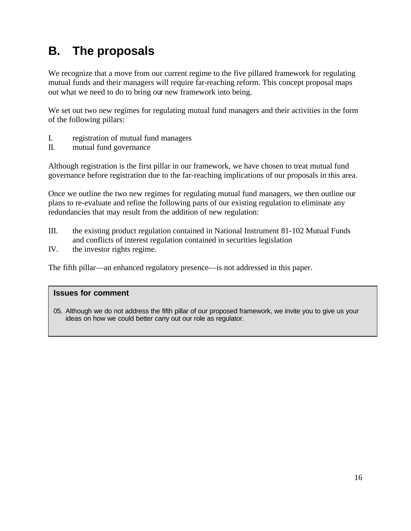## **B. The proposals**

We recognize that a move from our current regime to the five pillared framework for regulating mutual funds and their managers will require far-reaching reform. This concept proposal maps out what we need to do to bring our new framework into being.

We set out two new regimes for regulating mutual fund managers and their activities in the form of the following pillars:

- I. registration of mutual fund managers
- II. mutual fund governance

Although registration is the first pillar in our framework, we have chosen to treat mutual fund governance before registration due to the far-reaching implications of our proposals in this area.

Once we outline the two new regimes for regulating mutual fund managers, we then outline our plans to re-evaluate and refine the following parts of our existing regulation to eliminate any redundancies that may result from the addition of new regulation:

- III. the existing product regulation contained in National Instrument 81-102 Mutual Funds and conflicts of interest regulation contained in securities legislation
- IV. the investor rights regime.

The fifth pillar—an enhanced regulatory presence—is not addressed in this paper.

#### **Issues for comment**

05. Although we do not address the fifth pillar of our proposed framework, we invite you to give us your ideas on how we could better carry out our role as regulator.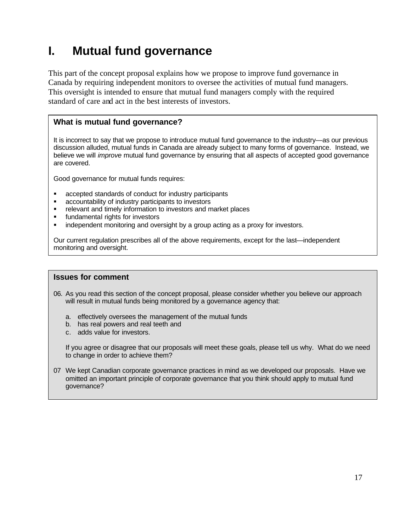## **I. Mutual fund governance**

This part of the concept proposal explains how we propose to improve fund governance in Canada by requiring independent monitors to oversee the activities of mutual fund managers. This oversight is intended to ensure that mutual fund managers comply with the required standard of care and act in the best interests of investors.

#### **What is mutual fund governance?**

It is incorrect to say that we propose to introduce mutual fund governance to the industry—as our previous discussion alluded, mutual funds in Canada are already subject to many forms of governance. Instead, we believe we will *improve* mutual fund governance by ensuring that all aspects of accepted good governance are covered.

Good governance for mutual funds requires:

- **EXEC** accepted standards of conduct for industry participants
- ß accountability of industry participants to investors
- ß relevant and timely information to investors and market places
- **EXECUTE:** fundamental rights for investors
- independent monitoring and oversight by a group acting as a proxy for investors.

Our current regulation prescribes all of the above requirements, except for the last—independent monitoring and oversight.

#### **Issues for comment**

- 06. As you read this section of the concept proposal, please consider whether you believe our approach will result in mutual funds being monitored by a governance agency that:
	- a. effectively oversees the management of the mutual funds
	- b. has real powers and real teeth and
	- c. adds value for investors.

If you agree or disagree that our proposals will meet these goals, please tell us why. What do we need to change in order to achieve them?

07 We kept Canadian corporate governance practices in mind as we developed our proposals. Have we omitted an important principle of corporate governance that you think should apply to mutual fund governance?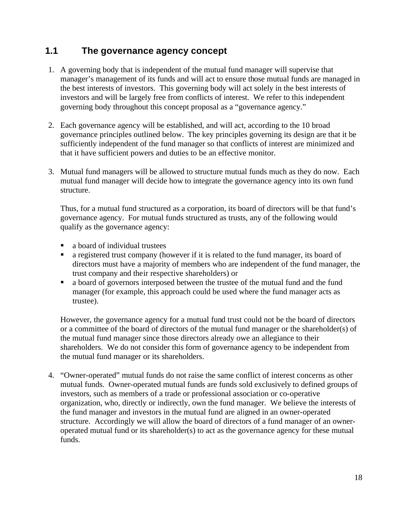### **1.1 The governance agency concept**

- 1. A governing body that is independent of the mutual fund manager will supervise that manager's management of its funds and will act to ensure those mutual funds are managed in the best interests of investors. This governing body will act solely in the best interests of investors and will be largely free from conflicts of interest. We refer to this independent governing body throughout this concept proposal as a "governance agency."
- 2. Each governance agency will be established, and will act, according to the 10 broad governance principles outlined below. The key principles governing its design are that it be sufficiently independent of the fund manager so that conflicts of interest are minimized and that it have sufficient powers and duties to be an effective monitor.
- 3. Mutual fund managers will be allowed to structure mutual funds much as they do now. Each mutual fund manager will decide how to integrate the governance agency into its own fund structure.

Thus, for a mutual fund structured as a corporation, its board of directors will be that fund's governance agency. For mutual funds structured as trusts, any of the following would qualify as the governance agency:

- a board of individual trustees
- a registered trust company (however if it is related to the fund manager, its board of directors must have a majority of members who are independent of the fund manager, the trust company and their respective shareholders) or
- ß a board of governors interposed between the trustee of the mutual fund and the fund manager (for example, this approach could be used where the fund manager acts as trustee).

However, the governance agency for a mutual fund trust could not be the board of directors or a committee of the board of directors of the mutual fund manager or the shareholder(s) of the mutual fund manager since those directors already owe an allegiance to their shareholders. We do not consider this form of governance agency to be independent from the mutual fund manager or its shareholders.

4. "Owner-operated" mutual funds do not raise the same conflict of interest concerns as other mutual funds. Owner-operated mutual funds are funds sold exclusively to defined groups of investors, such as members of a trade or professional association or co-operative organization, who, directly or indirectly, own the fund manager. We believe the interests of the fund manager and investors in the mutual fund are aligned in an owner-operated structure. Accordingly we will allow the board of directors of a fund manager of an owneroperated mutual fund or its shareholder(s) to act as the governance agency for these mutual funds.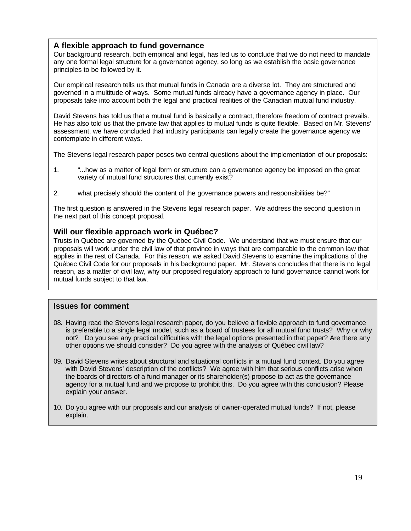#### **A flexible approach to fund governance**

Our background research, both empirical and legal, has led us to conclude that we do not need to mandate any one formal legal structure for a governance agency, so long as we establish the basic governance principles to be followed by it.

Our empirical research tells us that mutual funds in Canada are a diverse lot. They are structured and governed in a multitude of ways. Some mutual funds already have a governance agency in place. Our proposals take into account both the legal and practical realities of the Canadian mutual fund industry.

David Stevens has told us that a mutual fund is basically a contract, therefore freedom of contract prevails. He has also told us that the private law that applies to mutual funds is quite flexible. Based on Mr. Stevens' assessment, we have concluded that industry participants can legally create the governance agency we contemplate in different ways.

The Stevens legal research paper poses two central questions about the implementation of our proposals:

- 1. "...how as a matter of legal form or structure can a governance agency be imposed on the great variety of mutual fund structures that currently exist?
- 2. what precisely should the content of the governance powers and responsibilities be?"

The first question is answered in the Stevens legal research paper. We address the second question in the next part of this concept proposal.

#### **Will our flexible approach work in Québec?**

Trusts in Québec are governed by the Québec Civil Code. We understand that we must ensure that our proposals will work under the civil law of that province in ways that are comparable to the common law that applies in the rest of Canada. For this reason, we asked David Stevens to examine the implications of the Québec Civil Code for our proposals in his background paper. Mr. Stevens concludes that there is no legal reason, as a matter of civil law, why our proposed regulatory approach to fund governance cannot work for mutual funds subject to that law.

#### **Issues for comment**

- 08. Having read the Stevens legal research paper, do you believe a flexible approach to fund governance is preferable to a single legal model, such as a board of trustees for all mutual fund trusts? Why or why not? Do you see any practical difficulties with the legal options presented in that paper? Are there any other options we should consider? Do you agree with the analysis of Québec civil law?
- 09. David Stevens writes about structural and situational conflicts in a mutual fund context. Do you agree with David Stevens' description of the conflicts? We agree with him that serious conflicts arise when the boards of directors of a fund manager or its shareholder(s) propose to act as the governance agency for a mutual fund and we propose to prohibit this. Do you agree with this conclusion? Please explain your answer.
- 10. Do you agree with our proposals and our analysis of owner-operated mutual funds? If not, please explain.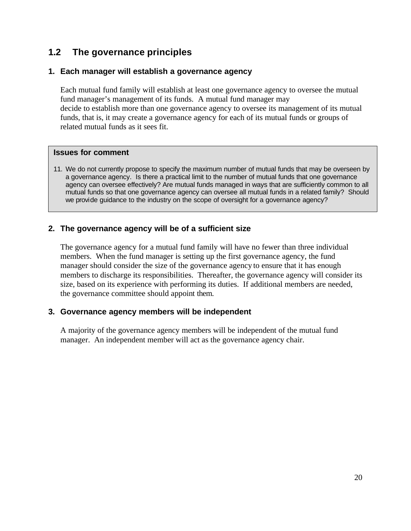## **1.2 The governance principles**

#### **1. Each manager will establish a governance agency**

Each mutual fund family will establish at least one governance agency to oversee the mutual fund manager's management of its funds. A mutual fund manager may decide to establish more than one governance agency to oversee its management of its mutual funds, that is, it may create a governance agency for each of its mutual funds or groups of related mutual funds as it sees fit.

#### **Issues for comment**

11. We do not currently propose to specify the maximum number of mutual funds that may be overseen by a governance agency. Is there a practical limit to the number of mutual funds that one governance agency can oversee effectively? Are mutual funds managed in ways that are sufficiently common to all mutual funds so that one governance agency can oversee all mutual funds in a related family? Should we provide guidance to the industry on the scope of oversight for a governance agency?

#### **2. The governance agency will be of a sufficient size**

The governance agency for a mutual fund family will have no fewer than three individual members. When the fund manager is setting up the first governance agency, the fund manager should consider the size of the governance agency to ensure that it has enough members to discharge its responsibilities. Thereafter, the governance agency will consider its size, based on its experience with performing its duties. If additional members are needed, the governance committee should appoint them.

#### **3. Governance agency members will be independent**

A majority of the governance agency members will be independent of the mutual fund manager. An independent member will act as the governance agency chair.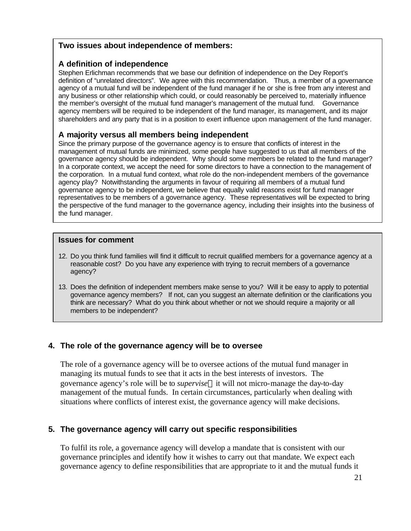#### **Two issues about independence of members:**

#### **A definition of independence**

Stephen Erlichman recommends that we base our definition of independence on the Dey Report's definition of "unrelated directors". We agree with this recommendation. Thus, a member of a governance agency of a mutual fund will be independent of the fund manager if he or she is free from any interest and any business or other relationship which could, or could reasonably be perceived to, materially influence the member's oversight of the mutual fund manager's management of the mutual fund. Governance agency members will be required to be independent of the fund manager, its management, and its major shareholders and any party that is in a position to exert influence upon management of the fund manager.

#### **A majority versus all members being independent**

Since the primary purpose of the governance agency is to ensure that conflicts of interest in the management of mutual funds are minimized, some people have suggested to us that all members of the governance agency should be independent. Why should some members be related to the fund manager? In a corporate context, we accept the need for some directors to have a connection to the management of the corporation. In a mutual fund context, what role do the non-independent members of the governance agency play? Notwithstanding the arguments in favour of requiring all members of a mutual fund governance agency to be independent, we believe that equally valid reasons exist for fund manager representatives to be members of a governance agency. These representatives will be expected to bring the perspective of the fund manager to the governance agency, including their insights into the business of the fund manager.

#### **Issues for comment**

- 12. Do you think fund families will find it difficult to recruit qualified members for a governance agency at a reasonable cost? Do you have any experience with trying to recruit members of a governance agency?
- 13. Does the definition of independent members make sense to you? Will it be easy to apply to potential governance agency members? If not, can you suggest an alternate definition or the clarifications you think are necessary? What do you think about whether or not we should require a majority or all members to be independent?

#### **4. The role of the governance agency will be to oversee**

The role of a governance agency will be to oversee actions of the mutual fund manager in managing its mutual funds to see that it acts in the best interests of investors. The governance agency's role will be to *supervise*it will not micro-manage the day-to-day management of the mutual funds. In certain circumstances, particularly when dealing with situations where conflicts of interest exist, the governance agency will make decisions.

#### **5. The governance agency will carry out specific responsibilities**

To fulfil its role, a governance agency will develop a mandate that is consistent with our governance principles and identify how it wishes to carry out that mandate. We expect each governance agency to define responsibilities that are appropriate to it and the mutual funds it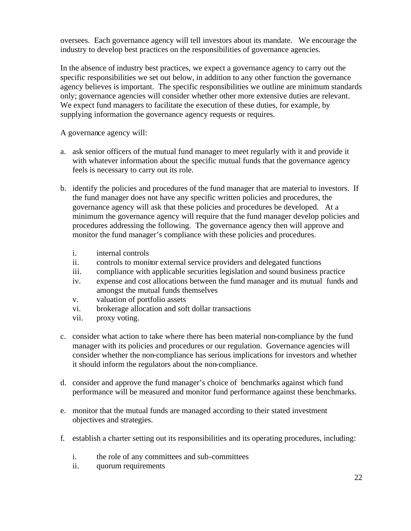oversees. Each governance agency will tell investors about its mandate. We encourage the industry to develop best practices on the responsibilities of governance agencies.

In the absence of industry best practices, we expect a governance agency to carry out the specific responsibilities we set out below, in addition to any other function the governance agency believes is important. The specific responsibilities we outline are minimum standards only; governance agencies will consider whether other more extensive duties are relevant. We expect fund managers to facilitate the execution of these duties, for example, by supplying information the governance agency requests or requires.

A governance agency will:

- a. ask senior officers of the mutual fund manager to meet regularly with it and provide it with whatever information about the specific mutual funds that the governance agency feels is necessary to carry out its role.
- b. identify the policies and procedures of the fund manager that are material to investors. If the fund manager does not have any specific written policies and procedures, the governance agency will ask that these policies and procedures be developed. At a minimum the governance agency will require that the fund manager develop policies and procedures addressing the following. The governance agency then will approve and monitor the fund manager's compliance with these policies and procedures.
	- i. internal controls
	- ii. controls to monitor external service providers and delegated functions
	- iii. compliance with applicable securities legislation and sound business practice
	- iv. expense and cost allocations between the fund manager and its mutual funds and amongst the mutual funds themselves
	- v. valuation of portfolio assets
	- vi. brokerage allocation and soft dollar transactions
	- vii. proxy voting.
- c. consider what action to take where there has been material non-compliance by the fund manager with its policies and procedures or our regulation. Governance agencies will consider whether the non-compliance has serious implications for investors and whether it should inform the regulators about the non-compliance.
- d. consider and approve the fund manager's choice of benchmarks against which fund performance will be measured and monitor fund performance against these benchmarks.
- e. monitor that the mutual funds are managed according to their stated investment objectives and strategies.
- f. establish a charter setting out its responsibilities and its operating procedures, including:
	- i. the role of any committees and sub-committees
	- ii. quorum requirements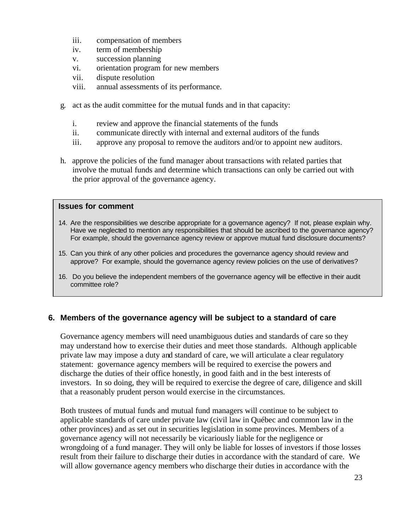- iii. compensation of members
- iv. term of membership
- v. succession planning
- vi. orientation program for new members
- vii. dispute resolution
- viii. annual assessments of its performance.
- g. act as the audit committee for the mutual funds and in that capacity:
	- i. review and approve the financial statements of the funds
	- ii. communicate directly with internal and external auditors of the funds
	- iii. approve any proposal to remove the auditors and/or to appoint new auditors.
- h. approve the policies of the fund manager about transactions with related parties that involve the mutual funds and determine which transactions can only be carried out with the prior approval of the governance agency.

#### **Issues for comment**

- 14. Are the responsibilities we describe appropriate for a governance agency? If not, please explain why. Have we neglected to mention any responsibilities that should be ascribed to the governance agency? For example, should the governance agency review or approve mutual fund disclosure documents?
- 15. Can you think of any other policies and procedures the governance agency should review and approve? For example, should the governance agency review policies on the use of derivatives?
- 16. Do you believe the independent members of the governance agency will be effective in their audit committee role?

#### **6. Members of the governance agency will be subject to a standard of care**

Governance agency members will need unambiguous duties and standards of care so they may understand how to exercise their duties and meet those standards. Although applicable private law may impose a duty and standard of care, we will articulate a clear regulatory statement: governance agency members will be required to exercise the powers and discharge the duties of their office honestly, in good faith and in the best interests of investors. In so doing, they will be required to exercise the degree of care, diligence and skill that a reasonably prudent person would exercise in the circumstances.

Both trustees of mutual funds and mutual fund managers will continue to be subject to applicable standards of care under private law (civil law in Québec and common law in the other provinces) and as set out in securities legislation in some provinces. Members of a governance agency will not necessarily be vicariously liable for the negligence or wrongdoing of a fund manager. They will only be liable for losses of investors if those losses result from their failure to discharge their duties in accordance with the standard of care. We will allow governance agency members who discharge their duties in accordance with the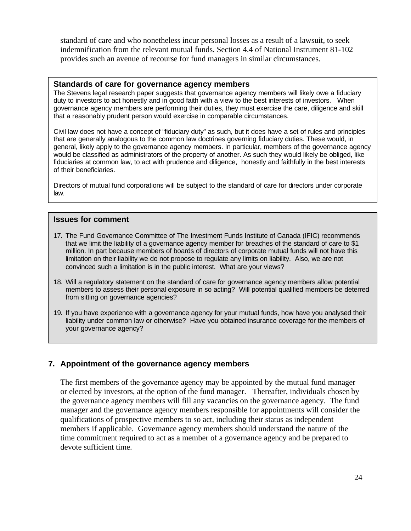standard of care and who nonetheless incur personal losses as a result of a lawsuit, to seek indemnification from the relevant mutual funds. Section 4.4 of National Instrument 81-102 provides such an avenue of recourse for fund managers in similar circumstances.

#### **Standards of care for governance agency members**

The Stevens legal research paper suggests that governance agency members will likely owe a fiduciary duty to investors to act honestly and in good faith with a view to the best interests of investors. When governance agency members are performing their duties, they must exercise the care, diligence and skill that a reasonably prudent person would exercise in comparable circumstances.

Civil law does not have a concept of "fiduciary duty" as such, but it does have a set of rules and principles that are generally analogous to the common law doctrines governing fiduciary duties. These would, in general, likely apply to the governance agency members. In particular, members of the governance agency would be classified as administrators of the property of another. As such they would likely be obliged, like fiduciaries at common law, to act with prudence and diligence, honestly and faithfully in the best interests of their beneficiaries.

Directors of mutual fund corporations will be subject to the standard of care for directors under corporate law.

#### **Issues for comment**

- 17. The Fund Governance Committee of The Investment Funds Institute of Canada (IFIC) recommends that we limit the liability of a governance agency member for breaches of the standard of care to \$1 million. In part because members of boards of directors of corporate mutual funds will not have this limitation on their liability we do not propose to regulate any limits on liability. Also, we are not convinced such a limitation is in the public interest. What are your views?
- 18. Will a regulatory statement on the standard of care for governance agency members allow potential members to assess their personal exposure in so acting? Will potential qualified members be deterred from sitting on governance agencies?
- 19. If you have experience with a governance agency for your mutual funds, how have you analysed their liability under common law or otherwise? Have you obtained insurance coverage for the members of your governance agency?

#### **7. Appointment of the governance agency members**

The first members of the governance agency may be appointed by the mutual fund manager or elected by investors, at the option of the fund manager. Thereafter, individuals chosen by the governance agency members will fill any vacancies on the governance agency. The fund manager and the governance agency members responsible for appointments will consider the qualifications of prospective members to so act, including their status as independent members if applicable. Governance agency members should understand the nature of the time commitment required to act as a member of a governance agency and be prepared to devote sufficient time.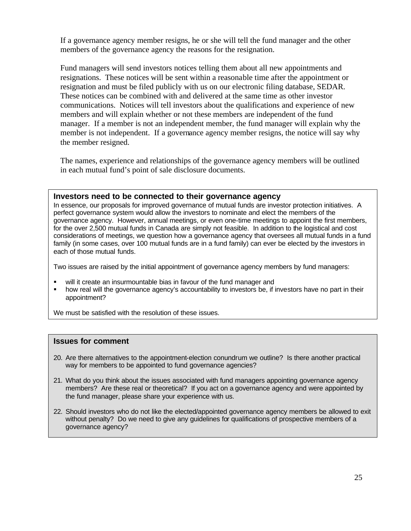If a governance agency member resigns, he or she will tell the fund manager and the other members of the governance agency the reasons for the resignation.

Fund managers will send investors notices telling them about all new appointments and resignations. These notices will be sent within a reasonable time after the appointment or resignation and must be filed publicly with us on our electronic filing database, SEDAR. These notices can be combined with and delivered at the same time as other investor communications. Notices will tell investors about the qualifications and experience of new members and will explain whether or not these members are independent of the fund manager. If a member is not an independent member, the fund manager will explain why the member is not independent. If a governance agency member resigns, the notice will say why the member resigned.

The names, experience and relationships of the governance agency members will be outlined in each mutual fund's point of sale disclosure documents.

#### **Investors need to be connected to their governance agency**

In essence, our proposals for improved governance of mutual funds are investor protection initiatives. A perfect governance system would allow the investors to nominate and elect the members of the governance agency. However, annual meetings, or even one-time meetings to appoint the first members, for the over 2,500 mutual funds in Canada are simply not feasible. In addition to the logistical and cost considerations of meetings, we question how a governance agency that oversees all mutual funds in a fund family (in some cases, over 100 mutual funds are in a fund family) can ever be elected by the investors in each of those mutual funds.

Two issues are raised by the initial appointment of governance agency members by fund managers:

- will it create an insurmountable bias in favour of the fund manager and
- how real will the governance agency's accountability to investors be, if investors have no part in their appointment?

We must be satisfied with the resolution of these issues.

#### **Issues for comment**

- 20. Are there alternatives to the appointment-election conundrum we outline? Is there another practical way for members to be appointed to fund governance agencies?
- 21. What do you think about the issues associated with fund managers appointing governance agency members? Are these real or theoretical? If you act on a governance agency and were appointed by the fund manager, please share your experience with us.
- 22. Should investors who do not like the elected/appointed governance agency members be allowed to exit without penalty? Do we need to give any guidelines for qualifications of prospective members of a governance agency?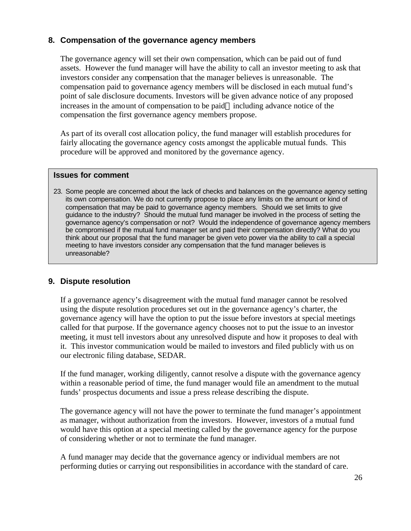#### **8. Compensation of the governance agency members**

The governance agency will set their own compensation, which can be paid out of fund assets. However the fund manager will have the ability to call an investor meeting to ask that investors consider any compensation that the manager believes is unreasonable. The compensation paid to governance agency members will be disclosed in each mutual fund's point of sale disclosure documents. Investors will be given advance notice of any proposed increases in the amount of compensation to be paid—including advance notice of the compensation the first governance agency members propose.

As part of its overall cost allocation policy, the fund manager will establish procedures for fairly allocating the governance agency costs amongst the applicable mutual funds. This procedure will be approved and monitored by the governance agency.

#### **Issues for comment**

23. Some people are concerned about the lack of checks and balances on the governance agency setting its own compensation. We do not currently propose to place any limits on the amount or kind of compensation that may be paid to governance agency members. Should we set limits to give guidance to the industry? Should the mutual fund manager be involved in the process of setting the governance agency's compensation or not? Would the independence of governance agency members be compromised if the mutual fund manager set and paid their compensation directly? What do you think about our proposal that the fund manager be given veto power via the ability to call a special meeting to have investors consider any compensation that the fund manager believes is unreasonable?

#### **9. Dispute resolution**

If a governance agency's disagreement with the mutual fund manager cannot be resolved using the dispute resolution procedures set out in the governance agency's charter, the governance agency will have the option to put the issue before investors at special meetings called for that purpose. If the governance agency chooses not to put the issue to an investor meeting, it must tell investors about any unresolved dispute and how it proposes to deal with it. This investor communication would be mailed to investors and filed publicly with us on our electronic filing database, SEDAR.

If the fund manager, working diligently, cannot resolve a dispute with the governance agency within a reasonable period of time, the fund manager would file an amendment to the mutual funds' prospectus documents and issue a press release describing the dispute.

The governance agency will not have the power to terminate the fund manager's appointment as manager, without authorization from the investors. However, investors of a mutual fund would have this option at a special meeting called by the governance agency for the purpose of considering whether or not to terminate the fund manager.

A fund manager may decide that the governance agency or individual members are not performing duties or carrying out responsibilities in accordance with the standard of care.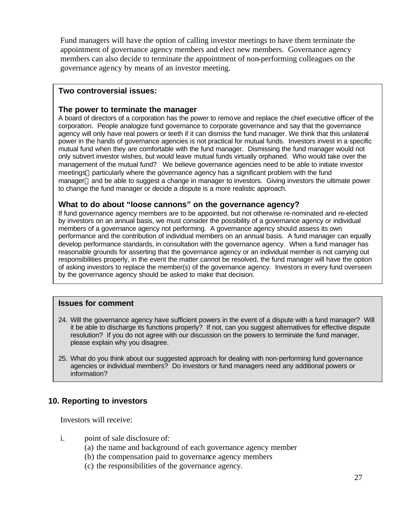Fund managers will have the option of calling investor meetings to have them terminate the appointment of governance agency members and elect new members. Governance agency members can also decide to terminate the appointment of non-performing colleagues on the governance agency by means of an investor meeting.

#### **Two controversial issues:**

#### **The power to terminate the manager**

A board of directors of a corporation has the power to remove and replace the chief executive officer of the corporation. People analogize fund governance to corporate governance and say that the governance agency will only have real powers or teeth if it can dismiss the fund manager. We think that this unilateral power in the hands of governance agencies is not practical for mutual funds. Investors invest in a specific mutual fund when they are comfortable with the fund manager. Dismissing the fund manager would not only subvert investor wishes, but would leave mutual funds virtually orphaned. Who would take over the management of the mutual fund? We believe governance agencies need to be able to initiate investor meetings—particularly where the governance agency has a significant problem with the fund manager—and be able to suggest a change in manager to investors. Giving investors the ultimate power to change the fund manager or decide a dispute is a more realistic approach.

#### **What to do about "loose cannons" on the governance agency?**

If fund governance agency members are to be appointed, but not otherwise re-nominated and re-elected by investors on an annual basis, we must consider the possibility of a governance agency or individual members of a governance agency not performing. A governance agency should assess its own performance and the contribution of individual members on an annual basis. A fund manager can equally develop performance standards, in consultation with the governance agency. When a fund manager has reasonable grounds for asserting that the governance agency or an individual member is not carrying out responsibilities properly, in the event the matter cannot be resolved, the fund manager will have the option of asking investors to replace the member(s) of the governance agency. Investors in every fund overseen by the governance agency should be asked to make that decision.

#### **Issues for comment**

- 24. Will the governance agency have sufficient powers in the event of a dispute with a fund manager? Will it be able to discharge its functions properly? If not, can you suggest alternatives for effective dispute resolution? If you do not agree with our discussion on the powers to terminate the fund manager, please explain why you disagree.
- 25. What do you think about our suggested approach for dealing with non-performing fund governance agencies or individual members? Do investors or fund managers need any additional powers or information?

#### **10. Reporting to investors**

Investors will receive:

- i. point of sale disclosure of:
	- (a) the name and background of each governance agency member
	- (b) the compensation paid to governance agency members
	- (c) the responsibilities of the governance agency.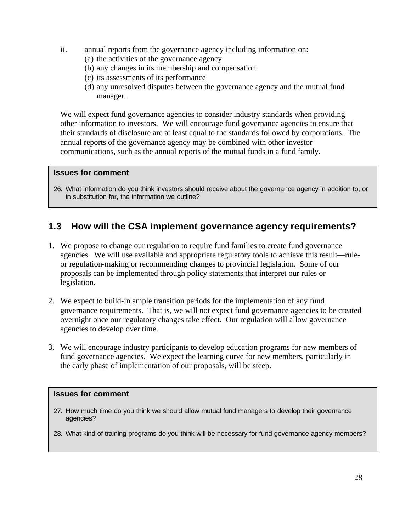- ii. annual reports from the governance agency including information on:
	- (a) the activities of the governance agency
	- (b) any changes in its membership and compensation
	- (c) its assessments of its performance
	- (d) any unresolved disputes between the governance agency and the mutual fund manager.

We will expect fund governance agencies to consider industry standards when providing other information to investors. We will encourage fund governance agencies to ensure that their standards of disclosure are at least equal to the standards followed by corporations. The annual reports of the governance agency may be combined with other investor communications, such as the annual reports of the mutual funds in a fund family.

#### **Issues for comment**

26. What information do you think investors should receive about the governance agency in addition to, or in substitution for, the information we outline?

### **1.3 How will the CSA implement governance agency requirements?**

- 1. We propose to change our regulation to require fund families to create fund governance agencies. We will use available and appropriate regulatory tools to achieve this result—ruleor regulation-making or recommending changes to provincial legislation. Some of our proposals can be implemented through policy statements that interpret our rules or legislation.
- 2. We expect to build-in ample transition periods for the implementation of any fund governance requirements. That is, we will not expect fund governance agencies to be created overnight once our regulatory changes take effect. Our regulation will allow governance agencies to develop over time.
- 3. We will encourage industry participants to develop education programs for new members of fund governance agencies. We expect the learning curve for new members, particularly in the early phase of implementation of our proposals, will be steep.

#### **Issues for comment**

- 27. How much time do you think we should allow mutual fund managers to develop their governance agencies?
- 28. What kind of training programs do you think will be necessary for fund governance agency members?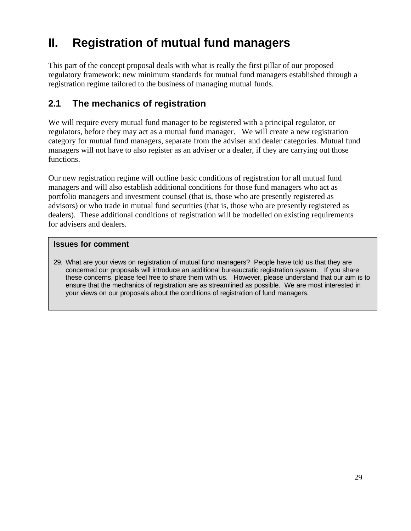## **II. Registration of mutual fund managers**

This part of the concept proposal deals with what is really the first pillar of our proposed regulatory framework: new minimum standards for mutual fund managers established through a registration regime tailored to the business of managing mutual funds.

## **2.1 The mechanics of registration**

We will require every mutual fund manager to be registered with a principal regulator, or regulators, before they may act as a mutual fund manager. We will create a new registration category for mutual fund managers, separate from the adviser and dealer categories. Mutual fund managers will not have to also register as an adviser or a dealer, if they are carrying out those functions.

Our new registration regime will outline basic conditions of registration for all mutual fund managers and will also establish additional conditions for those fund managers who act as portfolio managers and investment counsel (that is, those who are presently registered as advisors) or who trade in mutual fund securities (that is, those who are presently registered as dealers). These additional conditions of registration will be modelled on existing requirements for advisers and dealers.

#### **Issues for comment**

29. What are your views on registration of mutual fund managers? People have told us that they are concerned our proposals will introduce an additional bureaucratic registration system. If you share these concerns, please feel free to share them with us. However, please understand that our aim is to ensure that the mechanics of registration are as streamlined as possible. We are most interested in your views on our proposals about the conditions of registration of fund managers.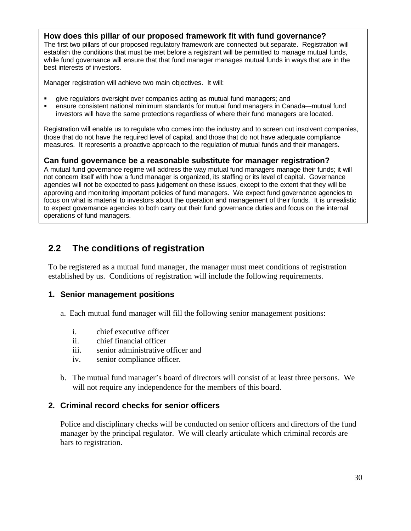#### **How does this pillar of our proposed framework fit with fund governance?**

The first two pillars of our proposed regulatory framework are connected but separate. Registration will establish the conditions that must be met before a registrant will be permitted to manage mutual funds, while fund governance will ensure that that fund manager manages mutual funds in ways that are in the best interests of investors.

Manager registration will achieve two main objectives. It will:

- ß give regulators oversight over companies acting as mutual fund managers; and
- ß ensure consistent national minimum standards for mutual fund managers in Canada—mutual fund investors will have the same protections regardless of where their fund managers are located.

Registration will enable us to regulate who comes into the industry and to screen out insolvent companies, those that do not have the required level of capital, and those that do not have adequate compliance measures. It represents a proactive approach to the regulation of mutual funds and their managers.

#### **Can fund governance be a reasonable substitute for manager registration?**

A mutual fund governance regime will address the way mutual fund managers manage their funds; it will not concern itself with how a fund manager is organized, its staffing or its level of capital. Governance agencies will not be expected to pass judgement on these issues, except to the extent that they will be approving and monitoring important policies of fund managers. We expect fund governance agencies to focus on what is material to investors about the operation and management of their funds. It is unrealistic to expect governance agencies to both carry out their fund governance duties and focus on the internal operations of fund managers.

### **2.2 The conditions of registration**

To be registered as a mutual fund manager, the manager must meet conditions of registration established by us. Conditions of registration will include the following requirements.

#### **1. Senior management positions**

- a. Each mutual fund manager will fill the following senior management positions:
	- i. chief executive officer
	- ii. chief financial officer
	- iii. senior administrative officer and
	- iv. senior compliance officer.
- b. The mutual fund manager's board of directors will consist of at least three persons. We will not require any independence for the members of this board.

#### **2. Criminal record checks for senior officers**

Police and disciplinary checks will be conducted on senior officers and directors of the fund manager by the principal regulator. We will clearly articulate which criminal records are bars to registration.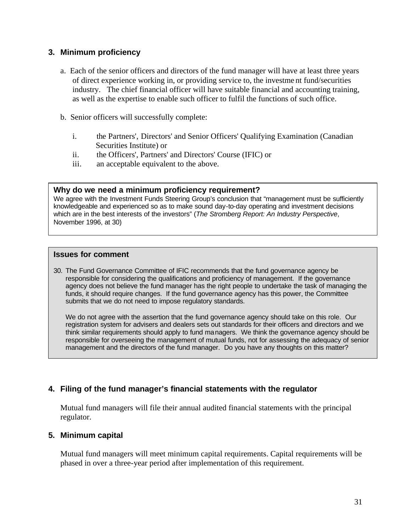#### **3. Minimum proficiency**

- a. Each of the senior officers and directors of the fund manager will have at least three years of direct experience working in, or providing service to, the investme nt fund/securities industry. The chief financial officer will have suitable financial and accounting training, as well as the expertise to enable such officer to fulfil the functions of such office.
- b. Senior officers will successfully complete:
	- i. the Partners', Directors' and Senior Officers' Qualifying Examination (Canadian Securities Institute) or
	- ii. the Officers', Partners' and Directors' Course (IFIC) or
	- iii. an acceptable equivalent to the above.

#### **Why do we need a minimum proficiency requirement?**

We agree with the Investment Funds Steering Group's conclusion that "management must be sufficiently knowledgeable and experienced so as to make sound day-to-day operating and investment decisions which are in the best interests of the investors" (*The Stromberg Report: An Industry Perspective*, November 1996, at 30)

#### **Issues for comment**

30. The Fund Governance Committee of IFIC recommends that the fund governance agency be responsible for considering the qualifications and proficiency of management. If the governance agency does not believe the fund manager has the right people to undertake the task of managing the funds, it should require changes. If the fund governance agency has this power, the Committee submits that we do not need to impose regulatory standards.

We do not agree with the assertion that the fund governance agency should take on this role. Our registration system for advisers and dealers sets out standards for their officers and directors and we think similar requirements should apply to fund managers. We think the governance agency should be responsible for overseeing the management of mutual funds, not for assessing the adequacy of senior management and the directors of the fund manager. Do you have any thoughts on this matter?

#### **4. Filing of the fund manager's financial statements with the regulator**

Mutual fund managers will file their annual audited financial statements with the principal regulator.

#### **5. Minimum capital**

Mutual fund managers will meet minimum capital requirements. Capital requirements will be phased in over a three-year period after implementation of this requirement.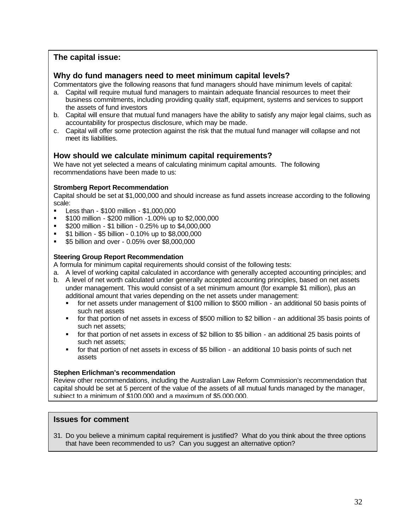#### **The capital issue:**

#### **Why do fund managers need to meet minimum capital levels?**

Commentators give the following reasons that fund managers should have minimum levels of capital:

- a. Capital will require mutual fund managers to maintain adequate financial resources to meet their business commitments, including providing quality staff, equipment, systems and services to support the assets of fund investors
- b. Capital will ensure that mutual fund managers have the ability to satisfy any major legal claims, such as accountability for prospectus disclosure, which may be made.
- c. Capital will offer some protection against the risk that the mutual fund manager will collapse and not meet its liabilities.

#### **How should we calculate minimum capital requirements?**

We have not yet selected a means of calculating minimum capital amounts. The following recommendations have been made to us:

#### **Stromberg Report Recommendation**

Capital should be set at \$1,000,000 and should increase as fund assets increase according to the following scale:

- ß Less than \$100 million \$1,000,000
- ß \$100 million \$200 million -1.00% up to \$2,000,000
- $\bullet$  \$200 million \$1 billion 0.25% up to \$4,000,000
- ß \$1 billion \$5 billion 0.10% up to \$8,000,000
- $\bullet$  \$5 billion and over 0.05% over \$8,000,000

#### **Steering Group Report Recommendation**

A formula for minimum capital requirements should consist of the following tests:

- a. A level of working capital calculated in accordance with generally accepted accounting principles; and
- b. A level of net worth calculated under generally accepted accounting principles, based on net assets under management. This would consist of a set minimum amount (for example \$1 million), plus an additional amount that varies depending on the net assets under management:
	- ß for net assets under management of \$100 million to \$500 million an additional 50 basis points of such net assets
	- ß for that portion of net assets in excess of \$500 million to \$2 billion an additional 35 basis points of such net assets;
	- for that portion of net assets in excess of \$2 billion to \$5 billion an additional 25 basis points of such net assets;
	- for that portion of net assets in excess of \$5 billion an additional 10 basis points of such net assets

#### **Stephen Erlichman's recommendation**

Review other recommendations, including the Australian Law Reform Commission's recommendation that capital should be set at 5 percent of the value of the assets of all mutual funds managed by the manager, subject to a minimum of \$100,000 and a maximum of \$5,000,000.

#### **Issues for comment**

31. Do you believe a minimum capital requirement is justified? What do you think about the three options that have been recommended to us? Can you suggest an alternative option?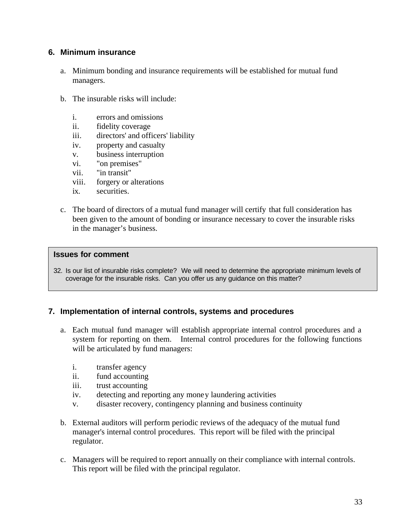#### **6. Minimum insurance**

- a. Minimum bonding and insurance requirements will be established for mutual fund managers.
- b. The insurable risks will include:
	- i. errors and omissions
	- ii. fidelity coverage
	- iii. directors' and officers' liability
	- iv. property and casualty
	- v. business interruption
	- vi. "on premises"
	- vii. "in transit"
	- viii. forgery or alterations
	- ix. securities.
- c. The board of directors of a mutual fund manager will certify that full consideration has been given to the amount of bonding or insurance necessary to cover the insurable risks in the manager's business.

#### **Issues for comment**

32. Is our list of insurable risks complete? We will need to determine the appropriate minimum levels of coverage for the insurable risks. Can you offer us any guidance on this matter?

#### **7. Implementation of internal controls, systems and procedures**

- a. Each mutual fund manager will establish appropriate internal control procedures and a system for reporting on them. Internal control procedures for the following functions will be articulated by fund managers:
	- i. transfer agency
	- ii. fund accounting
	- iii. trust accounting
	- iv. detecting and reporting any money laundering activities
	- v. disaster recovery, contingency planning and business continuity
- b. External auditors will perform periodic reviews of the adequacy of the mutual fund manager's internal control procedures. This report will be filed with the principal regulator.
- c. Managers will be required to report annually on their compliance with internal controls. This report will be filed with the principal regulator.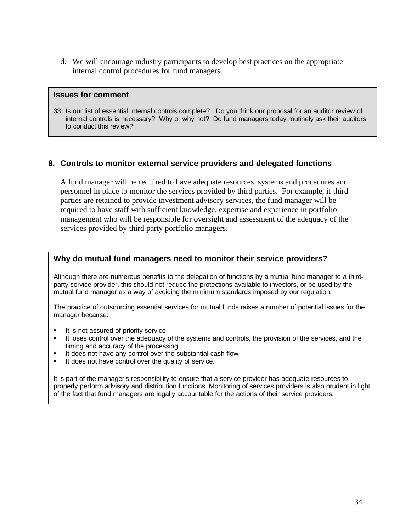d. We will encourage industry participants to develop best practices on the appropriate internal control procedures for fund managers.

#### **Issues for comment**

33. Is our list of essential internal controls complete? Do you think our proposal for an auditor review of internal controls is necessary? Why or why not? Do fund managers today routinely ask their auditors to conduct this review?

#### **8. Controls to monitor external service providers and delegated functions**

A fund manager will be required to have adequate resources, systems and procedures and personnel in place to monitor the services provided by third parties. For example, if third parties are retained to provide investment advisory services, the fund manager will be required to have staff with sufficient knowledge, expertise and experience in portfolio management who will be responsible for oversight and assessment of the adequacy of the services provided by third party portfolio managers.

#### **Why do mutual fund managers need to monitor their service providers?**

Although there are numerous benefits to the delegation of functions by a mutual fund manager to a thirdparty service provider, this should not reduce the protections available to investors, or be used by the mutual fund manager as a way of avoiding the minimum standards imposed by our regulation.

The practice of outsourcing essential services for mutual funds raises a number of potential issues for the manager because:

- $\blacksquare$  It is not assured of priority service
- ß It loses control over the adequacy of the systems and controls, the provision of the services, and the timing and accuracy of the processing
- It does not have any control over the substantial cash flow
- It does not have control over the quality of service.

It is part of the manager's responsibility to ensure that a service provider has adequate resources to properly perform advisory and distribution functions. Monitoring of services providers is also prudent in light of the fact that fund managers are legally accountable for the actions of their service providers.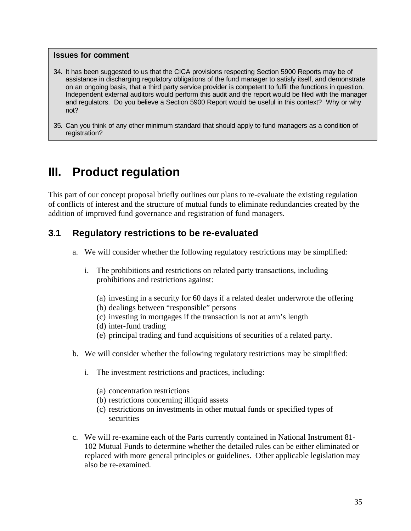#### **Issues for comment**

- 34. It has been suggested to us that the CICA provisions respecting Section 5900 Reports may be of assistance in discharging regulatory obligations of the fund manager to satisfy itself, and demonstrate on an ongoing basis, that a third party service provider is competent to fulfil the functions in question. Independent external auditors would perform this audit and the report would be filed with the manager and regulators. Do you believe a Section 5900 Report would be useful in this context? Why or why not?
- 35. Can you think of any other minimum standard that should apply to fund managers as a condition of registration?

## **III. Product regulation**

This part of our concept proposal briefly outlines our plans to re-evaluate the existing regulation of conflicts of interest and the structure of mutual funds to eliminate redundancies created by the addition of improved fund governance and registration of fund managers.

### **3.1 Regulatory restrictions to be re-evaluated**

- a. We will consider whether the following regulatory restrictions may be simplified:
	- i. The prohibitions and restrictions on related party transactions, including prohibitions and restrictions against:
		- (a) investing in a security for 60 days if a related dealer underwrote the offering
		- (b) dealings between "responsible" persons
		- (c) investing in mortgages if the transaction is not at arm's length
		- (d) inter-fund trading
		- (e) principal trading and fund acquisitions of securities of a related party.
- b. We will consider whether the following regulatory restrictions may be simplified:
	- i. The investment restrictions and practices, including:
		- (a) concentration restrictions
		- (b) restrictions concerning illiquid assets
		- (c) restrictions on investments in other mutual funds or specified types of securities
- c. We will re-examine each of the Parts currently contained in National Instrument 81- 102 Mutual Funds to determine whether the detailed rules can be either eliminated or replaced with more general principles or guidelines. Other applicable legislation may also be re-examined.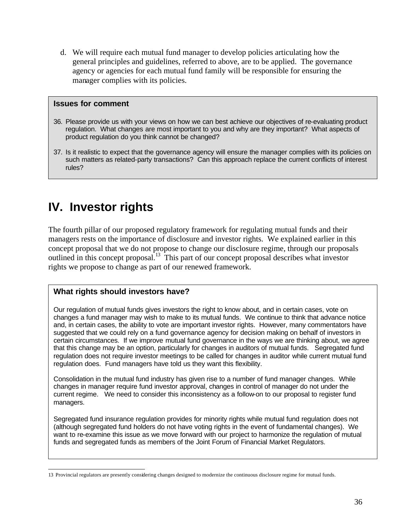d. We will require each mutual fund manager to develop policies articulating how the general principles and guidelines, referred to above, are to be applied. The governance agency or agencies for each mutual fund family will be responsible for ensuring the manager complies with its policies.

#### **Issues for comment**

- 36. Please provide us with your views on how we can best achieve our objectives of re-evaluating product regulation. What changes are most important to you and why are they important? What aspects of product regulation do you think cannot be changed?
- 37. Is it realistic to expect that the governance agency will ensure the manager complies with its policies on such matters as related-party transactions? Can this approach replace the current conflicts of interest rules?

## **IV. Investor rights**

The fourth pillar of our proposed regulatory framework for regulating mutual funds and their managers rests on the importance of disclosure and investor rights. We explained earlier in this concept proposal that we do not propose to change our disclosure regime, through our proposals outlined in this concept proposal.<sup>13</sup> This part of our concept proposal describes what investor rights we propose to change as part of our renewed framework.

#### **What rights should investors have?**

Our regulation of mutual funds gives investors the right to know about, and in certain cases, vote on changes a fund manager may wish to make to its mutual funds. We continue to think that advance notice and, in certain cases, the ability to vote are important investor rights. However, many commentators have suggested that we could rely on a fund governance agency for decision making on behalf of investors in certain circumstances. If we improve mutual fund governance in the ways we are thinking about, we agree that this change may be an option, particularly for changes in auditors of mutual funds. Segregated fund regulation does not require investor meetings to be called for changes in auditor while current mutual fund regulation does. Fund managers have told us they want this flexibility.

Consolidation in the mutual fund industry has given rise to a number of fund manager changes. While changes in manager require fund investor approval, changes in control of manager do not under the current regime. We need to consider this inconsistency as a follow-on to our proposal to register fund managers.

Segregated fund insurance regulation provides for minority rights while mutual fund regulation does not (although segregated fund holders do not have voting rights in the event of fundamental changes). We want to re-examine this issue as we move forward with our project to harmonize the regulation of mutual funds and segregated funds as members of the Joint Forum of Financial Market Regulators.

 13 Provincial regulators are presently considering changes designed to modernize the continuous disclosure regime for mutual funds.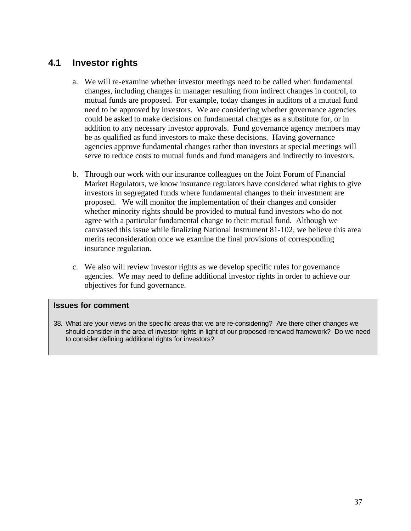### **4.1 Investor rights**

- a. We will re-examine whether investor meetings need to be called when fundamental changes, including changes in manager resulting from indirect changes in control, to mutual funds are proposed. For example, today changes in auditors of a mutual fund need to be approved by investors. We are considering whether governance agencies could be asked to make decisions on fundamental changes as a substitute for, or in addition to any necessary investor approvals. Fund governance agency members may be as qualified as fund investors to make these decisions. Having governance agencies approve fundamental changes rather than investors at special meetings will serve to reduce costs to mutual funds and fund managers and indirectly to investors.
- b. Through our work with our insurance colleagues on the Joint Forum of Financial Market Regulators, we know insurance regulators have considered what rights to give investors in segregated funds where fundamental changes to their investment are proposed. We will monitor the implementation of their changes and consider whether minority rights should be provided to mutual fund investors who do not agree with a particular fundamental change to their mutual fund. Although we canvassed this issue while finalizing National Instrument 81-102, we believe this area merits reconsideration once we examine the final provisions of corresponding insurance regulation.
- c. We also will review investor rights as we develop specific rules for governance agencies. We may need to define additional investor rights in order to achieve our objectives for fund governance.

#### **Issues for comment**

38. What are your views on the specific areas that we are re-considering? Are there other changes we should consider in the area of investor rights in light of our proposed renewed framework? Do we need to consider defining additional rights for investors?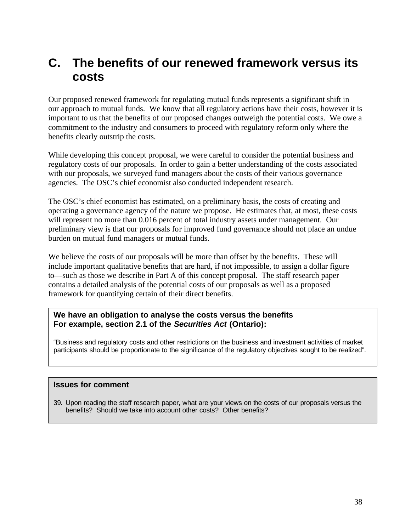## **C. The benefits of our renewed framework versus its costs**

Our proposed renewed framework for regulating mutual funds represents a significant shift in our approach to mutual funds. We know that all regulatory actions have their costs, however it is important to us that the benefits of our proposed changes outweigh the potential costs. We owe a commitment to the industry and consumers to proceed with regulatory reform only where the benefits clearly outstrip the costs.

While developing this concept proposal, we were careful to consider the potential business and regulatory costs of our proposals. In order to gain a better understanding of the costs associated with our proposals, we surveyed fund managers about the costs of their various governance agencies. The OSC's chief economist also conducted independent research.

The OSC's chief economist has estimated, on a preliminary basis, the costs of creating and operating a governance agency of the nature we propose. He estimates that, at most, these costs will represent no more than 0.016 percent of total industry assets under management. Our preliminary view is that our proposals for improved fund governance should not place an undue burden on mutual fund managers or mutual funds.

We believe the costs of our proposals will be more than offset by the benefits. These will include important qualitative benefits that are hard, if not impossible, to assign a dollar figure to—such as those we describe in Part A of this concept proposal. The staff research paper contains a detailed analysis of the potential costs of our proposals as well as a proposed framework for quantifying certain of their direct benefits.

#### **We have an obligation to analyse the costs versus the benefits For example, section 2.1 of the** *Securities Act* **(Ontario):**

"Business and regulatory costs and other restrictions on the business and investment activities of market participants should be proportionate to the significance of the regulatory objectives sought to be realized".

#### **Issues for comment**

39. Upon reading the staff research paper, what are your views on the costs of our proposals versus the benefits? Should we take into account other costs? Other benefits?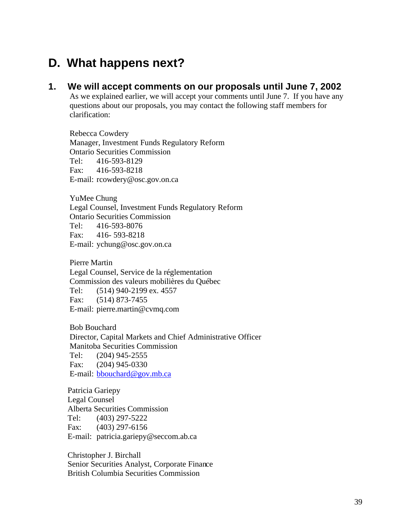## **D. What happens next?**

#### **1. We will accept comments on our proposals until June 7, 2002**

As we explained earlier, we will accept your comments until June 7. If you have any questions about our proposals, you may contact the following staff members for clarification:

Rebecca Cowdery Manager, Investment Funds Regulatory Reform Ontario Securities Commission Tel: 416-593-8129 Fax: 416-593-8218 E-mail: rcowdery@osc.gov.on.ca

YuMee Chung Legal Counsel, Investment Funds Regulatory Reform Ontario Securities Commission Tel: 416-593-8076 Fax: 416- 593-8218 E-mail: ychung@osc.gov.on.ca

Pierre Martin Legal Counsel, Service de la réglementation Commission des valeurs mobilières du Québec Tel: (514) 940-2199 ex. 4557 Fax: (514) 873-7455 E-mail: pierre.martin@cvmq.com

Bob Bouchard Director, Capital Markets and Chief Administrative Officer Manitoba Securities Commission Tel: (204) 945-2555 Fax: (204) 945-0330 E-mail: bbouchard@gov.mb.ca

Patricia Gariepy Legal Counsel Alberta Securities Commission Tel: (403) 297-5222 Fax: (403) 297-6156 E-mail: patricia.gariepy@seccom.ab.ca

Christopher J. Birchall Senior Securities Analyst, Corporate Finance British Columbia Securities Commission